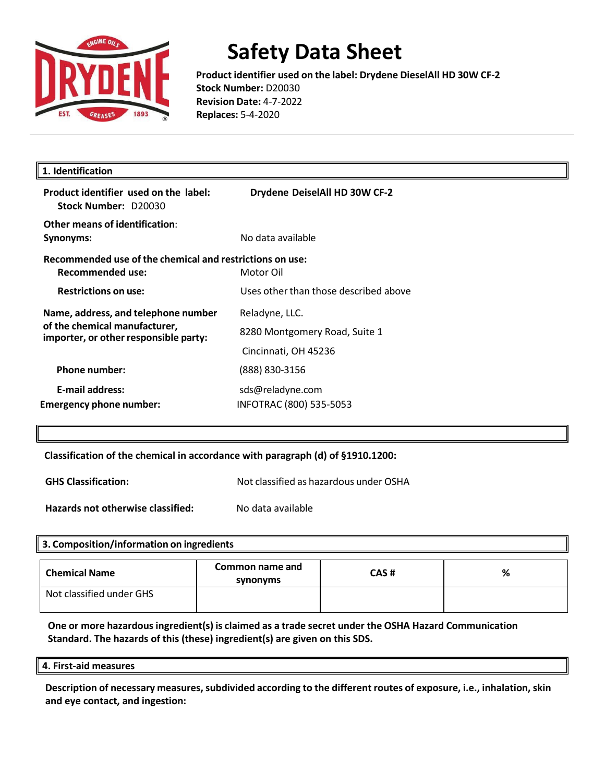

**Product identifier used on the label: Drydene DieselAll HD 30W CF-2 Stock Number:** D20030 **Revision Date:** 4-7-2022 **Replaces:** 5-4-2020

| 1. Identification                                                                                             |                                                                         |
|---------------------------------------------------------------------------------------------------------------|-------------------------------------------------------------------------|
| Product identifier used on the label:<br>Stock Number: D20030                                                 | Drydene DeiselAll HD 30W CF-2                                           |
| Other means of identification:<br>Synonyms:                                                                   | No data available                                                       |
| Recommended use of the chemical and restrictions on use:<br><b>Recommended use:</b>                           | Motor Oil                                                               |
| <b>Restrictions on use:</b>                                                                                   | Uses other than those described above                                   |
| Name, address, and telephone number<br>of the chemical manufacturer,<br>importer, or other responsible party: | Reladyne, LLC.<br>8280 Montgomery Road, Suite 1<br>Cincinnati, OH 45236 |
| <b>Phone number:</b>                                                                                          | (888) 830-3156                                                          |
| E-mail address:<br>Emergency phone number:                                                                    | sds@reladyne.com<br>INFOTRAC (800) 535-5053                             |
|                                                                                                               |                                                                         |

**Classification of the chemical in accordance with paragraph (d) of §1910.1200:** 

**GHS Classification:** Not classified as hazardous under OSHA

**Hazards not otherwise classified:** No data available

#### **3. Composition/information on ingredients**

| <b>Chemical Name</b>     | Common name and<br>synonyms | CAS# | % |
|--------------------------|-----------------------------|------|---|
| Not classified under GHS |                             |      |   |

**One or more hazardousingredient(s) is claimed as a trade secret under the OSHA Hazard Communication Standard. The hazards of this (these) ingredient(s) are given on this SDS.**

#### **4. First-aid measures**

**Description of necessary measures,subdivided according to the different routes of exposure, i.e., inhalation, skin and eye contact, and ingestion:**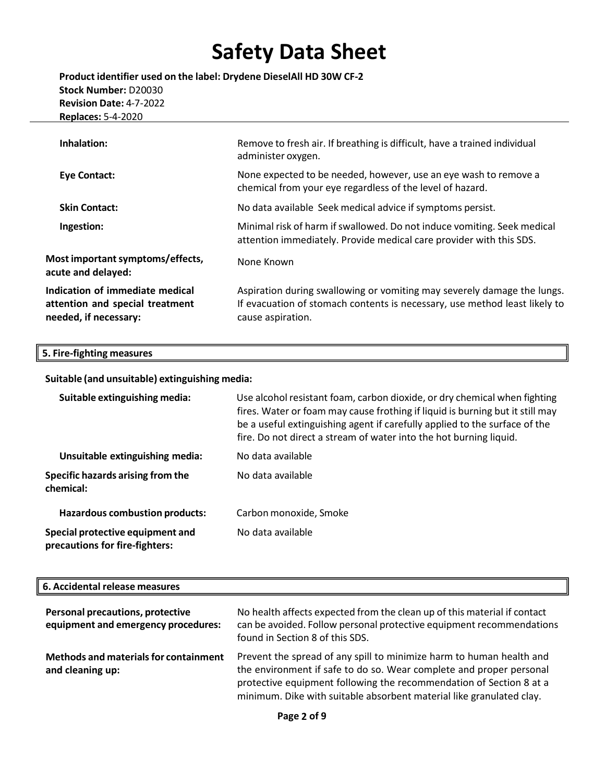**Product identifier used on the label: Drydene DieselAll HD 30W CF-2 Stock Number:** D20030 **Revision Date:** 4-7-2022 **Replaces:** 5-4-2020

| Inhalation:                                                                                 | Remove to fresh air. If breathing is difficult, have a trained individual<br>administer oxygen.                                                                            |
|---------------------------------------------------------------------------------------------|----------------------------------------------------------------------------------------------------------------------------------------------------------------------------|
| <b>Eye Contact:</b>                                                                         | None expected to be needed, however, use an eye wash to remove a<br>chemical from your eye regardless of the level of hazard.                                              |
| <b>Skin Contact:</b>                                                                        | No data available Seek medical advice if symptoms persist.                                                                                                                 |
| Ingestion:                                                                                  | Minimal risk of harm if swallowed. Do not induce vomiting. Seek medical<br>attention immediately. Provide medical care provider with this SDS.                             |
| Most important symptoms/effects,<br>acute and delayed:                                      | None Known                                                                                                                                                                 |
| Indication of immediate medical<br>attention and special treatment<br>needed, if necessary: | Aspiration during swallowing or vomiting may severely damage the lungs.<br>If evacuation of stomach contents is necessary, use method least likely to<br>cause aspiration. |

### **5. Fire-fighting measures**

**Suitable (and unsuitable) extinguishing media:**

| Suitable extinguishing media:                                      | Use alcohol resistant foam, carbon dioxide, or dry chemical when fighting<br>fires. Water or foam may cause frothing if liquid is burning but it still may<br>be a useful extinguishing agent if carefully applied to the surface of the<br>fire. Do not direct a stream of water into the hot burning liquid. |
|--------------------------------------------------------------------|----------------------------------------------------------------------------------------------------------------------------------------------------------------------------------------------------------------------------------------------------------------------------------------------------------------|
| Unsuitable extinguishing media:                                    | No data available                                                                                                                                                                                                                                                                                              |
| Specific hazards arising from the<br>chemical:                     | No data available                                                                                                                                                                                                                                                                                              |
| <b>Hazardous combustion products:</b>                              | Carbon monoxide, Smoke                                                                                                                                                                                                                                                                                         |
| Special protective equipment and<br>precautions for fire-fighters: | No data available                                                                                                                                                                                                                                                                                              |

### **6. Accidental release measures**

| Personal precautions, protective<br>equipment and emergency procedures: | No health affects expected from the clean up of this material if contact<br>can be avoided. Follow personal protective equipment recommendations<br>found in Section 8 of this SDS.                                                                                                        |
|-------------------------------------------------------------------------|--------------------------------------------------------------------------------------------------------------------------------------------------------------------------------------------------------------------------------------------------------------------------------------------|
| <b>Methods and materials for containment</b><br>and cleaning up:        | Prevent the spread of any spill to minimize harm to human health and<br>the environment if safe to do so. Wear complete and proper personal<br>protective equipment following the recommendation of Section 8 at a<br>minimum. Dike with suitable absorbent material like granulated clay. |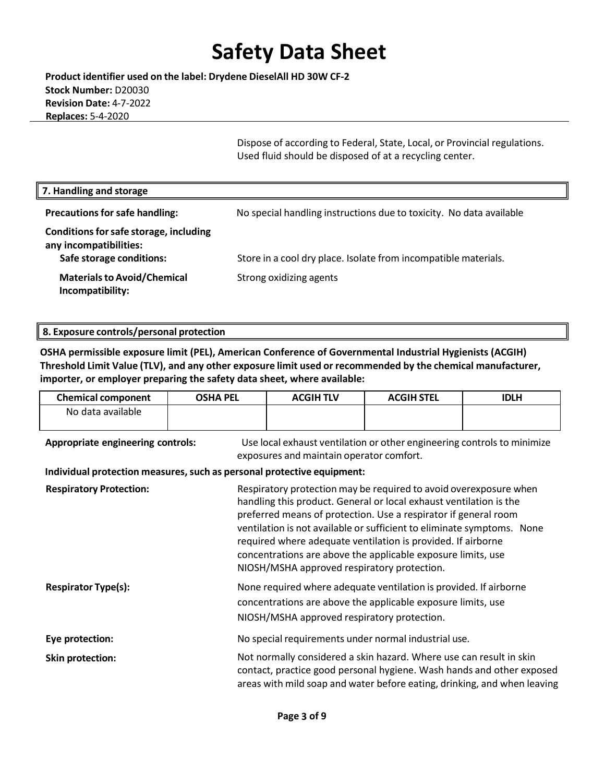**Product identifier used on the label: Drydene DieselAll HD 30W CF-2 Stock Number:** D20030 **Revision Date:** 4-7-2022 **Replaces:** 5-4-2020

> Dispose of according to Federal, State, Local, or Provincial regulations. Used fluid should be disposed of at a recycling center.

| 7. Handling and storage                                                                      |                                                                     |
|----------------------------------------------------------------------------------------------|---------------------------------------------------------------------|
| <b>Precautions for safe handling:</b>                                                        | No special handling instructions due to toxicity. No data available |
| Conditions for safe storage, including<br>any incompatibilities:<br>Safe storage conditions: | Store in a cool dry place. Isolate from incompatible materials.     |
| <b>Materials to Avoid/Chemical</b><br>Incompatibility:                                       | Strong oxidizing agents                                             |

#### **8. Exposure controls/personal protection**

**OSHA permissible exposure limit (PEL), American Conference of Governmental Industrial Hygienists (ACGIH) Threshold Limit Value (TLV), and any other exposure limit used or recommended by the chemical manufacturer, importer, or employer preparing the safety data sheet, where available:**

| <b>Chemical component</b>                                              | <b>OSHA PEL</b> | <b>ACGIH TLV</b>                            | <b>ACGIH STEL</b>                                                                                                                                                                                                                                                                                                                                                                                                    | <b>IDLH</b> |
|------------------------------------------------------------------------|-----------------|---------------------------------------------|----------------------------------------------------------------------------------------------------------------------------------------------------------------------------------------------------------------------------------------------------------------------------------------------------------------------------------------------------------------------------------------------------------------------|-------------|
| No data available                                                      |                 |                                             |                                                                                                                                                                                                                                                                                                                                                                                                                      |             |
| Appropriate engineering controls:                                      |                 | exposures and maintain operator comfort.    | Use local exhaust ventilation or other engineering controls to minimize                                                                                                                                                                                                                                                                                                                                              |             |
| Individual protection measures, such as personal protective equipment: |                 |                                             |                                                                                                                                                                                                                                                                                                                                                                                                                      |             |
| <b>Respiratory Protection:</b>                                         |                 | NIOSH/MSHA approved respiratory protection. | Respiratory protection may be required to avoid overexposure when<br>handling this product. General or local exhaust ventilation is the<br>preferred means of protection. Use a respirator if general room<br>ventilation is not available or sufficient to eliminate symptoms. None<br>required where adequate ventilation is provided. If airborne<br>concentrations are above the applicable exposure limits, use |             |
| <b>Respirator Type(s):</b>                                             |                 | NIOSH/MSHA approved respiratory protection. | None required where adequate ventilation is provided. If airborne<br>concentrations are above the applicable exposure limits, use                                                                                                                                                                                                                                                                                    |             |
| Eye protection:                                                        |                 |                                             | No special requirements under normal industrial use.                                                                                                                                                                                                                                                                                                                                                                 |             |
| <b>Skin protection:</b>                                                |                 |                                             | Not normally considered a skin hazard. Where use can result in skin<br>contact, practice good personal hygiene. Wash hands and other exposed<br>areas with mild soap and water before eating, drinking, and when leaving                                                                                                                                                                                             |             |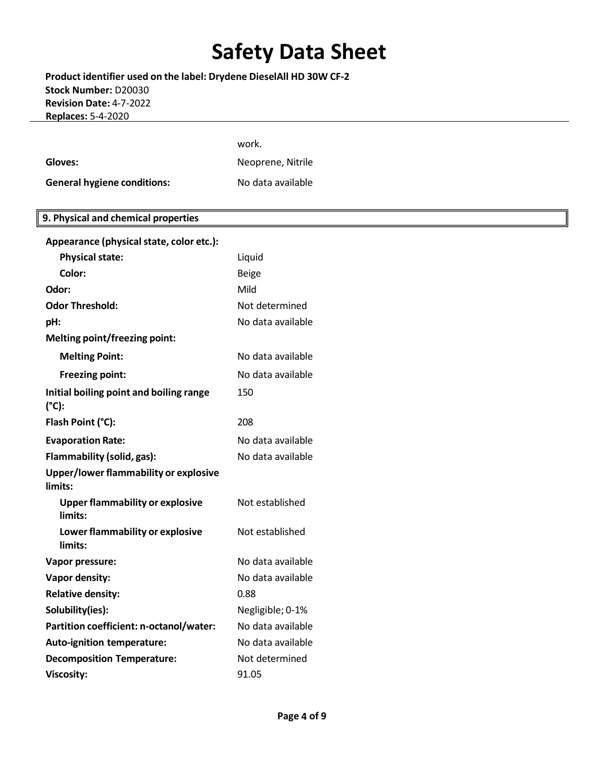**Product identifier used on the label: Drydene DieselAll HD 30W CF-2 Stock Number:** D20030 **Revision Date:** 4-7-2022 **Replaces:** 5-4-2020

| .                                                         |                   |
|-----------------------------------------------------------|-------------------|
|                                                           |                   |
|                                                           | work.             |
| Gloves:                                                   | Neoprene, Nitrile |
| <b>General hygiene conditions:</b>                        | No data available |
|                                                           |                   |
| 9. Physical and chemical properties                       |                   |
| Appearance (physical state, color etc.):                  |                   |
| <b>Physical state:</b>                                    | Liquid            |
| Color:                                                    | <b>Beige</b>      |
| Odor:                                                     | Mild              |
| <b>Odor Threshold:</b>                                    | Not determined    |
| pH:                                                       | No data available |
| Melting point/freezing point:                             |                   |
| <b>Melting Point:</b>                                     | No data available |
| <b>Freezing point:</b>                                    | No data available |
| Initial boiling point and boiling range<br>$(^{\circ}C):$ | 150               |
| Flash Point (°C):                                         | 208               |
| <b>Evaporation Rate:</b>                                  | No data available |
| Flammability (solid, gas):                                | No data available |
| Upper/lower flammability or explosive<br>limits:          |                   |
| <b>Upper flammability or explosive</b><br>limits:         | Not established   |
| Lower flammability or explosive<br>limits:                | Not established   |
| <b>Vapor pressure:</b>                                    | No data available |
| Vapor density:                                            | No data available |
| <b>Relative density:</b>                                  | 0.88              |
| Solubility(ies):                                          | Negligible; 0-1%  |
| Partition coefficient: n-octanol/water:                   | No data available |
| Auto-ignition temperature:                                | No data available |
| <b>Decomposition Temperature:</b>                         | Not determined    |

**Viscosity:** 91.05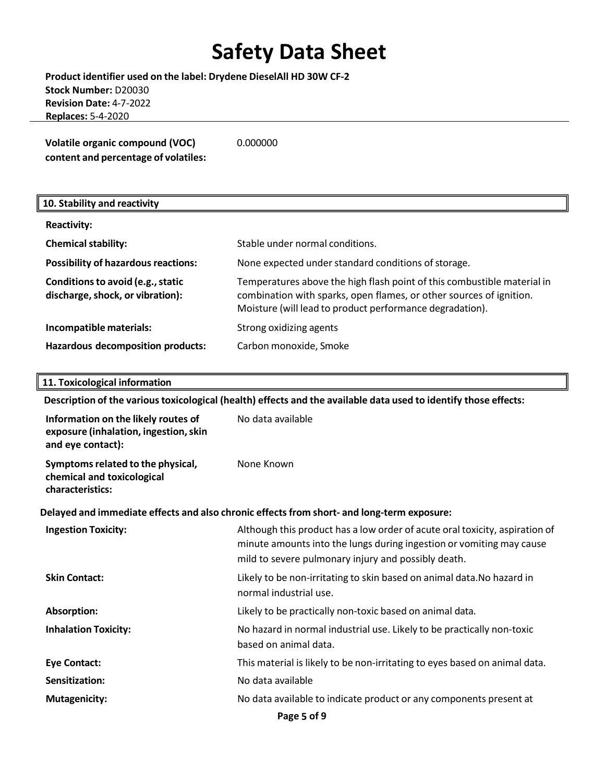**Product identifier used on the label: Drydene DieselAll HD 30W CF-2 Stock Number:** D20030 **Revision Date:** 4-7-2022 **Replaces:** 5-4-2020

| <b>Volatile organic compound (VOC)</b> | 0.000000 |
|----------------------------------------|----------|
| content and percentage of volatiles:   |          |

| 10. Stability and reactivity                                          |                                                                                                                                                                                                            |
|-----------------------------------------------------------------------|------------------------------------------------------------------------------------------------------------------------------------------------------------------------------------------------------------|
| <b>Reactivity:</b>                                                    |                                                                                                                                                                                                            |
| <b>Chemical stability:</b>                                            | Stable under normal conditions.                                                                                                                                                                            |
| <b>Possibility of hazardous reactions:</b>                            | None expected under standard conditions of storage.                                                                                                                                                        |
| Conditions to avoid (e.g., static<br>discharge, shock, or vibration): | Temperatures above the high flash point of this combustible material in<br>combination with sparks, open flames, or other sources of ignition.<br>Moisture (will lead to product performance degradation). |
| Incompatible materials:                                               | Strong oxidizing agents                                                                                                                                                                                    |
| Hazardous decomposition products:                                     | Carbon monoxide, Smoke                                                                                                                                                                                     |

#### **11. Toxicological information**

**Description of the varioustoxicological (health) effects and the available data used to identify those effects:**

| Information on the likely routes of<br>exposure (inhalation, ingestion, skin<br>and eye contact): | No data available                                                                                                                                                                                          |
|---------------------------------------------------------------------------------------------------|------------------------------------------------------------------------------------------------------------------------------------------------------------------------------------------------------------|
| Symptoms related to the physical,<br>chemical and toxicological<br>characteristics:               | None Known                                                                                                                                                                                                 |
|                                                                                                   | Delayed and immediate effects and also chronic effects from short- and long-term exposure:                                                                                                                 |
| <b>Ingestion Toxicity:</b>                                                                        | Although this product has a low order of acute oral toxicity, aspiration of<br>minute amounts into the lungs during ingestion or vomiting may cause<br>mild to severe pulmonary injury and possibly death. |
| <b>Skin Contact:</b>                                                                              | Likely to be non-irritating to skin based on animal data. No hazard in<br>normal industrial use.                                                                                                           |
| Absorption:                                                                                       | Likely to be practically non-toxic based on animal data.                                                                                                                                                   |
| <b>Inhalation Toxicity:</b>                                                                       | No hazard in normal industrial use. Likely to be practically non-toxic<br>based on animal data.                                                                                                            |
| <b>Eye Contact:</b>                                                                               | This material is likely to be non-irritating to eyes based on animal data.                                                                                                                                 |
| Sensitization:                                                                                    | No data available                                                                                                                                                                                          |
| <b>Mutagenicity:</b>                                                                              | No data available to indicate product or any components present at                                                                                                                                         |
|                                                                                                   | Page 5 of 9                                                                                                                                                                                                |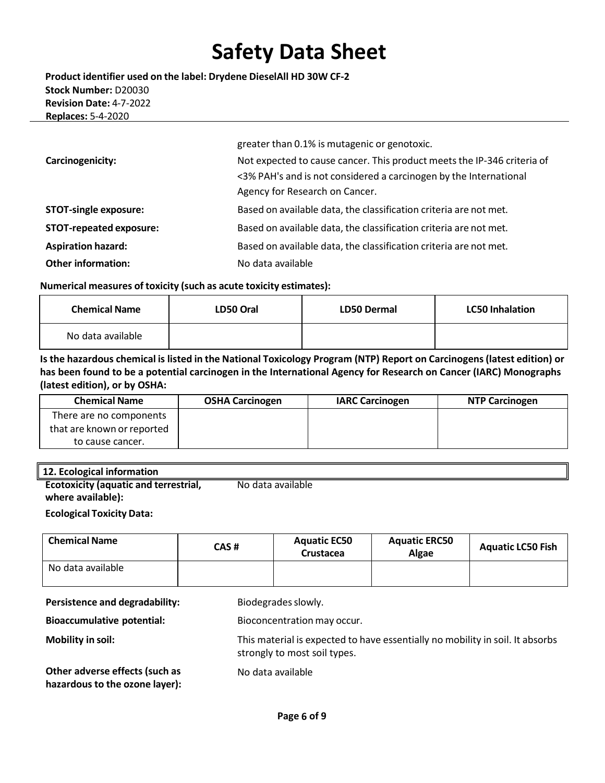**Product identifier used on the label: Drydene DieselAll HD 30W CF-2 Stock Number:** D20030 **Revision Date:** 4-7-2022 **Replaces:** 5-4-2020

|                                | greater than 0.1% is mutagenic or genotoxic.                            |
|--------------------------------|-------------------------------------------------------------------------|
| Carcinogenicity:               | Not expected to cause cancer. This product meets the IP-346 criteria of |
|                                | <3% PAH's and is not considered a carcinogen by the International       |
|                                | Agency for Research on Cancer.                                          |
| <b>STOT-single exposure:</b>   | Based on available data, the classification criteria are not met.       |
| <b>STOT-repeated exposure:</b> | Based on available data, the classification criteria are not met.       |
| <b>Aspiration hazard:</b>      | Based on available data, the classification criteria are not met.       |
| <b>Other information:</b>      | No data available                                                       |

#### **Numerical measures of toxicity (such as acute toxicity estimates):**

| <b>Chemical Name</b> | LD50 Oral | <b>LD50 Dermal</b> | <b>LC50 Inhalation</b> |
|----------------------|-----------|--------------------|------------------------|
| No data available    |           |                    |                        |

Is the hazardous chemical is listed in the National Toxicology Program (NTP) Report on Carcinogens (latest edition) or **has been found to be a potential carcinogen in the International Agency for Research on Cancer (IARC) Monographs (latest edition), or by OSHA:**

| <b>Chemical Name</b>       | <b>OSHA Carcinogen</b> | <b>IARC Carcinogen</b> | <b>NTP Carcinogen</b> |
|----------------------------|------------------------|------------------------|-----------------------|
| There are no components    |                        |                        |                       |
| that are known or reported |                        |                        |                       |
| to cause cancer.           |                        |                        |                       |

#### **12. Ecological information**

| <b>Ecotoxicity (aquatic and terrestrial,</b> | No data available |
|----------------------------------------------|-------------------|
| where available):                            |                   |

#### **Ecological Toxicity Data:**

| <b>Chemical Name</b> | CAS# | <b>Aquatic EC50</b><br><b>Crustacea</b> | <b>Aquatic ERC50</b><br>Algae | <b>Aquatic LC50 Fish</b> |
|----------------------|------|-----------------------------------------|-------------------------------|--------------------------|
| No data available    |      |                                         |                               |                          |
|                      |      |                                         |                               |                          |

**Persistence and degradability:** Biodegrades slowly.

**Bioaccumulative potential:** Bioconcentration may occur.

**Mobility in soil:** This material is expected to have essentially no mobility in soil. It absorbs

**Other adverse effects (such as hazardous to the ozone layer):**

No data available

strongly to most soil types.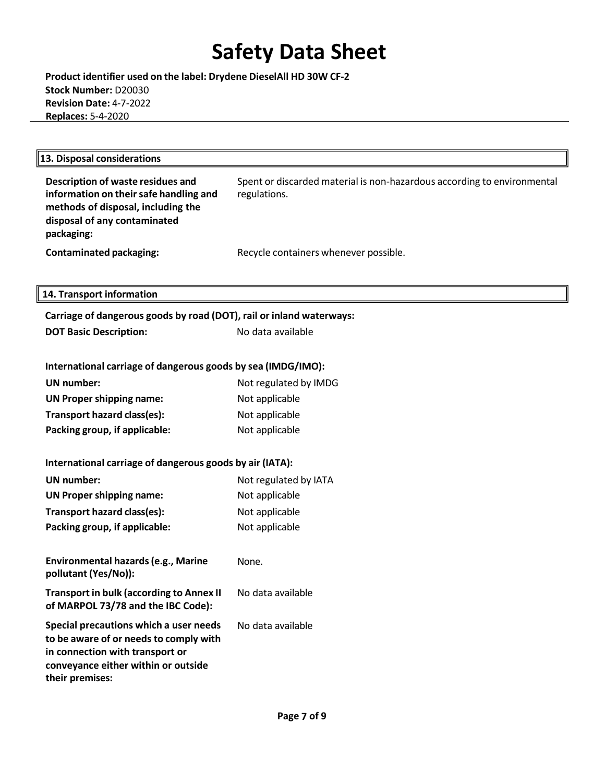**Product identifier used on the label: Drydene DieselAll HD 30W CF-2 Stock Number:** D20030 **Revision Date:** 4-7-2022 **Replaces:** 5-4-2020

| Description of waste residues and<br>information on their safe handling and<br>methods of disposal, including the<br>disposal of any contaminated<br>packaging:               | Spent or discarded material is non-hazardous according to environmental<br>regulations. |
|-------------------------------------------------------------------------------------------------------------------------------------------------------------------------------|-----------------------------------------------------------------------------------------|
| <b>Contaminated packaging:</b>                                                                                                                                                | Recycle containers whenever possible.                                                   |
|                                                                                                                                                                               |                                                                                         |
| 14. Transport information                                                                                                                                                     |                                                                                         |
| Carriage of dangerous goods by road (DOT), rail or inland waterways:                                                                                                          |                                                                                         |
| <b>DOT Basic Description:</b>                                                                                                                                                 | No data available                                                                       |
|                                                                                                                                                                               |                                                                                         |
| International carriage of dangerous goods by sea (IMDG/IMO):                                                                                                                  |                                                                                         |
| <b>UN number:</b>                                                                                                                                                             | Not regulated by IMDG                                                                   |
| <b>UN Proper shipping name:</b>                                                                                                                                               | Not applicable                                                                          |
| Transport hazard class(es):                                                                                                                                                   | Not applicable                                                                          |
| Packing group, if applicable:                                                                                                                                                 | Not applicable                                                                          |
| International carriage of dangerous goods by air (IATA):                                                                                                                      |                                                                                         |
| <b>UN</b> number:                                                                                                                                                             | Not regulated by IATA                                                                   |
| <b>UN Proper shipping name:</b>                                                                                                                                               | Not applicable                                                                          |
| Transport hazard class(es):                                                                                                                                                   | Not applicable                                                                          |
| Packing group, if applicable:                                                                                                                                                 | Not applicable                                                                          |
| Environmental hazards (e.g., Marine<br>pollutant (Yes/No)):                                                                                                                   | None.                                                                                   |
| <b>Transport in bulk (according to Annex II</b><br>of MARPOL 73/78 and the IBC Code):                                                                                         | No data available                                                                       |
| Special precautions which a user needs<br>to be aware of or needs to comply with<br>in connection with transport or<br>conveyance either within or outside<br>their premises: | No data available                                                                       |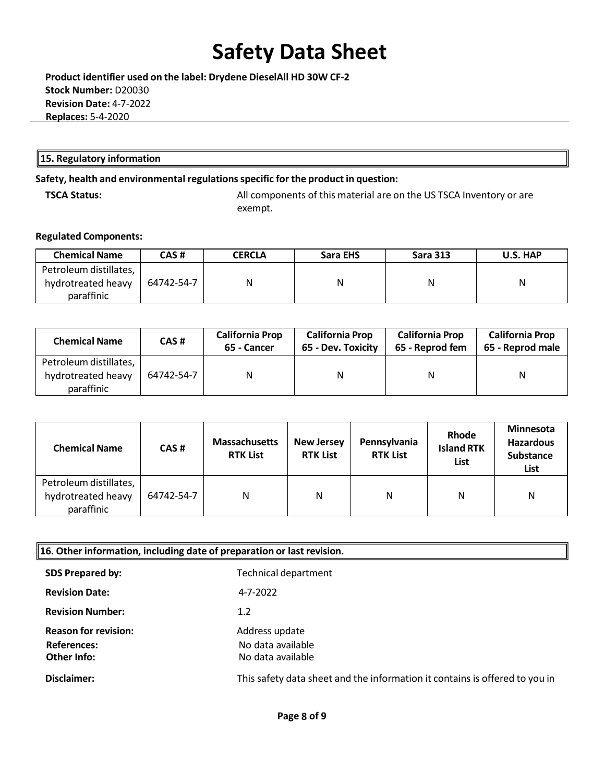**Product identifier used on the label: Drydene DieselAll HD 30W CF-2 Stock Number:** D20030 **Revision Date:** 4-7-2022 **Replaces:** 5-4-2020

#### **15. Regulatory information**

### **Safety, health and environmental regulationsspecific for the product in question:**

**TSCA Status:** All components of this material are on the US TSCA Inventory or are exempt.

#### **Regulated Components:**

| <b>Chemical Name</b>                                       | CAS #      | <b>CERCLA</b> | Sara EHS | <b>Sara 313</b> | U.S. HAP |
|------------------------------------------------------------|------------|---------------|----------|-----------------|----------|
| Petroleum distillates,<br>hydrotreated heavy<br>paraffinic | 64742-54-7 | Ν             | Ν        |                 | N        |

| <b>Chemical Name</b>                                       | CAS #      | <b>California Prop</b><br>65 - Cancer | <b>California Prop</b><br>65 - Dev. Toxicity | <b>California Prop</b><br>65 - Reprod fem | <b>California Prop</b><br>65 - Reprod male |
|------------------------------------------------------------|------------|---------------------------------------|----------------------------------------------|-------------------------------------------|--------------------------------------------|
| Petroleum distillates,<br>hydrotreated heavy<br>paraffinic | 64742-54-7 | N                                     | N                                            | N                                         | N                                          |

| <b>Chemical Name</b>                                       | CAS#       | <b>Massachusetts</b><br><b>RTK List</b> | <b>New Jersey</b><br><b>RTK List</b> | Pennsylvania<br><b>RTK List</b> | Rhode<br><b>Island RTK</b><br>List | <b>Minnesota</b><br><b>Hazardous</b><br><b>Substance</b><br>List |
|------------------------------------------------------------|------------|-----------------------------------------|--------------------------------------|---------------------------------|------------------------------------|------------------------------------------------------------------|
| Petroleum distillates,<br>hydrotreated heavy<br>paraffinic | 64742-54-7 | N                                       | N                                    | Ν                               | N                                  | N                                                                |

| $\parallel$ 16. Other information, including date of preparation or last revision. |                                                                             |  |  |
|------------------------------------------------------------------------------------|-----------------------------------------------------------------------------|--|--|
| <b>SDS Prepared by:</b>                                                            | <b>Technical department</b>                                                 |  |  |
| <b>Revision Date:</b>                                                              | 4-7-2022                                                                    |  |  |
| <b>Revision Number:</b>                                                            | 1.2                                                                         |  |  |
| <b>Reason for revision:</b><br><b>References:</b><br>Other Info:                   | Address update<br>No data available<br>No data available                    |  |  |
| Disclaimer:                                                                        | This safety data sheet and the information it contains is offered to you in |  |  |